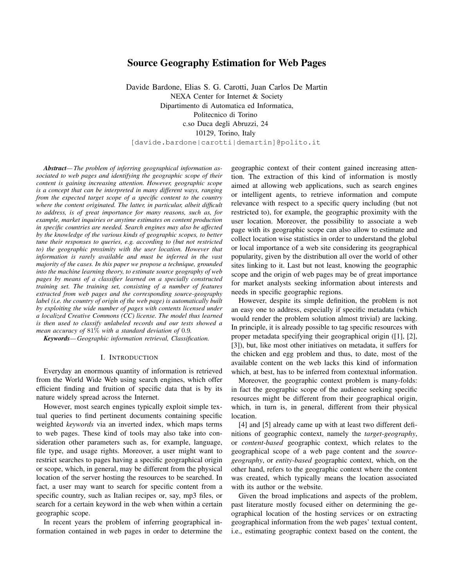# Source Geography Estimation for Web Pages

Davide Bardone, Elias S. G. Carotti, Juan Carlos De Martin NEXA Center for Internet & Society Dipartimento di Automatica ed Informatica, Politecnico di Torino c.so Duca degli Abruzzi, 24 10129, Torino, Italy [davide.bardone|carotti|demartin]@polito.it

*Abstract— The problem of inferring geographical information associated to web pages and identifying the geographic scope of their content is gaining increasing attention. However, geographic scope is a concept that can be interpreted in many different ways, ranging from the expected target scope of a specific content to the country where the content originated. The latter, in particular, albeit difficult to address, is of great importance for many reasons, such as, for example, market inquiries or anytime estimates on content production in specific countries are needed. Search engines may also be affected by the knowledge of the various kinds of geographic scopes, to better tune their responses to queries, e.g. according to (but not restricted to) the geographic proximity with the user location. However that information is rarely available and must be inferred in the vast majority of the cases. In this paper we propose a technique, grounded into the machine learning theory, to estimate source geography of web pages by means of a classifier learned on a specially constructed training set. The training set, consisting of a number of features extracted from web pages and the corresponding source-geography label (i.e. the country of origin of the web page) is automatically built by exploiting the wide number of pages with contents licensed under a localized Creative Commons (CC) license. The model thus learned is then used to classify unlabeled records and our tests showed a mean accuracy of* 81% *with a standard deviation of* 0.9*.*

*Keywords— Geographic information retrieval, Classification.*

#### I. INTRODUCTION

Everyday an enormous quantity of information is retrieved from the World Wide Web using search engines, which offer efficient finding and fruition of specific data that is by its nature widely spread across the Internet.

However, most search engines typically exploit simple textual queries to find pertinent documents containing specific weighted *keywords* via an inverted index, which maps terms to web pages. These kind of tools may also take into consideration other parameters such as, for example, language, file type, and usage rights. Moreover, a user might want to restrict searches to pages having a specific geographical origin or scope, which, in general, may be different from the physical location of the server hosting the resources to be searched. In fact, a user may want to search for specific content from a specific country, such as Italian recipes or, say, mp3 files, or search for a certain keyword in the web when within a certain geographic scope.

In recent years the problem of inferring geographical information contained in web pages in order to determine the geographic context of their content gained increasing attention. The extraction of this kind of information is mostly aimed at allowing web applications, such as search engines or intelligent agents, to retrieve information and compute relevance with respect to a specific query including (but not restricted to), for example, the geographic proximity with the user location. Moreover, the possibility to associate a web page with its geographic scope can also allow to estimate and collect location wise statistics in order to understand the global or local importance of a web site considering its geographical popularity, given by the distribution all over the world of other sites linking to it. Last but not least, knowing the geographic scope and the origin of web pages may be of great importance for market analysts seeking information about interests and needs in specific geographic regions.

However, despite its simple definition, the problem is not an easy one to address, especially if specific metadata (which would render the problem solution almost trivial) are lacking. In principle, it is already possible to tag specific resources with proper metadata specifying their geographical origin ([1], [2], [3]), but, like most other initiatives on metadata, it suffers for the chicken and egg problem and thus, to date, most of the available content on the web lacks this kind of information which, at best, has to be inferred from contextual information.

Moreover, the geographic context problem is many-folds: in fact the geographic scope of the audience seeking specific resources might be different from their geographical origin, which, in turn is, in general, different from their physical location.

[4] and [5] already came up with at least two different definitions of geographic context, namely the *target-geography*, or *content-based* geographic context, which relates to the geographical scope of a web page content and the *sourcegeography*, or *entity-based* geographic context, which, on the other hand, refers to the geographic context where the content was created, which typically means the location associated with its author or the website.

Given the broad implications and aspects of the problem, past literature mostly focused either on determining the geographical location of the hosting services or on extracting geographical information from the web pages' textual content, i.e., estimating geographic context based on the content, the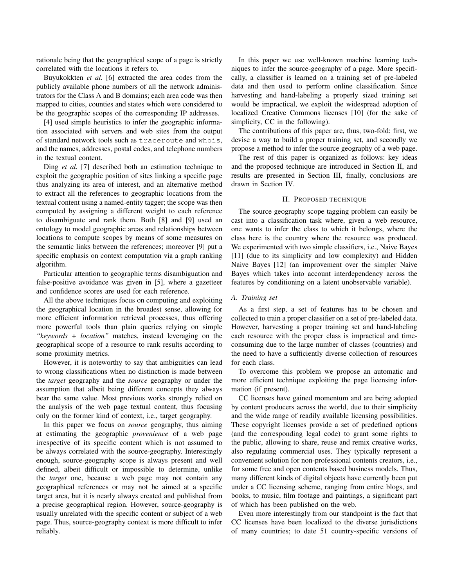rationale being that the geographical scope of a page is strictly correlated with the locations it refers to.

Buyukokkten *et al.* [6] extracted the area codes from the publicly available phone numbers of all the network administrators for the Class A and B domains; each area code was then mapped to cities, counties and states which were considered to be the geographic scopes of the corresponding IP addresses.

[4] used simple heuristics to infer the geographic information associated with servers and web sites from the output of standard network tools such as traceroute and whois, and the names, addresses, postal codes, and telephone numbers in the textual content.

Ding *et al.* [7] described both an estimation technique to exploit the geographic position of sites linking a specific page thus analyzing its area of interest, and an alternative method to extract all the references to geographic locations from the textual content using a named-entity tagger; the scope was then computed by assigning a different weight to each reference to disambiguate and rank them. Both [8] and [9] used an ontology to model geographic areas and relationships between locations to compute scopes by means of some measures on the semantic links between the references; moreover [9] put a specific emphasis on context computation via a graph ranking algorithm.

Particular attention to geographic terms disambiguation and false-positive avoidance was given in [5], where a gazetteer and confidence scores are used for each reference.

All the above techniques focus on computing and exploiting the geographical location in the broadest sense, allowing for more efficient information retrieval processes, thus offering more powerful tools than plain queries relying on simple *"keywords + location"* matches, instead leveraging on the geographical scope of a resource to rank results according to some proximity metrics.

However, it is noteworthy to say that ambiguities can lead to wrong classifications when no distinction is made between the *target* geography and the *source* geography or under the assumption that albeit being different concepts they always bear the same value. Most previous works strongly relied on the analysis of the web page textual content, thus focusing only on the former kind of context, i.e., target geography.

In this paper we focus on *source* geography, thus aiming at estimating the geographic *provenience* of a web page irrespective of its specific content which is not assumed to be always correlated with the source-geography. Interestingly enough, source-geography scope is always present and well defined, albeit difficult or impossible to determine, unlike the *target* one, because a web page may not contain any geographical references or may not be aimed at a specific target area, but it is nearly always created and published from a precise geographical region. However, source-geography is usually unrelated with the specific content or subject of a web page. Thus, source-geography context is more difficult to infer reliably.

In this paper we use well-known machine learning techniques to infer the source-geography of a page. More specifically, a classifier is learned on a training set of pre-labeled data and then used to perform online classification. Since harvesting and hand-labeling a properly sized training set would be impractical, we exploit the widespread adoption of localized Creative Commons licenses [10] (for the sake of simplicity, CC in the following).

The contributions of this paper are, thus, two-fold: first, we devise a way to build a proper training set, and secondly we propose a method to infer the source geography of a web page.

The rest of this paper is organized as follows: key ideas and the proposed technique are introduced in Section II, and results are presented in Section III, finally, conclusions are drawn in Section IV.

## II. PROPOSED TECHNIQUE

The source geography scope tagging problem can easily be cast into a classification task where, given a web resource, one wants to infer the class to which it belongs, where the class here is the country where the resource was produced. We experimented with two simple classifiers, i.e., Naive Bayes [11] (due to its simplicity and low complexity) and Hidden Naive Bayes [12] (an improvement over the simpler Naive Bayes which takes into account interdependency across the features by conditioning on a latent unobservable variable).

#### *A. Training set*

As a first step, a set of features has to be chosen and collected to train a proper classifier on a set of pre-labeled data. However, harvesting a proper training set and hand-labeling each resource with the proper class is impractical and timeconsuming due to the large number of classes (countries) and the need to have a sufficiently diverse collection of resources for each class.

To overcome this problem we propose an automatic and more efficient technique exploiting the page licensing information (if present).

CC licenses have gained momentum and are being adopted by content producers across the world, due to their simplicity and the wide range of readily available licensing possibilities. These copyright licenses provide a set of predefined options (and the corresponding legal code) to grant some rights to the public, allowing to share, reuse and remix creative works, also regulating commercial uses. They typically represent a convenient solution for non-professional contents creators, i.e., for some free and open contents based business models. Thus, many different kinds of digital objects have currently been put under a CC licensing scheme, ranging from entire blogs, and books, to music, film footage and paintings, a significant part of which has been published on the web.

Even more interestingly from our standpoint is the fact that CC licenses have been localized to the diverse jurisdictions of many countries; to date 51 country-specific versions of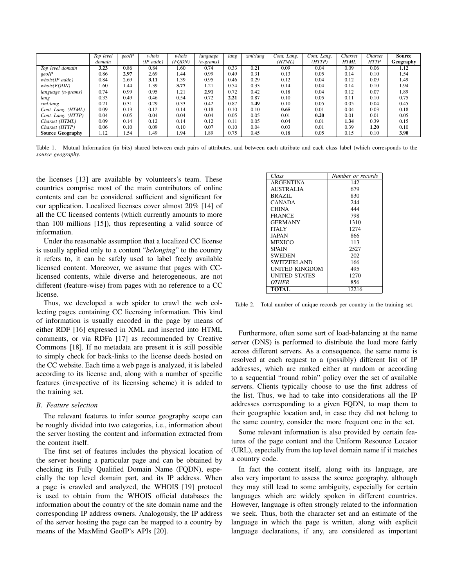|                         | Top level | geoIP | whois       | whois  | language    | lang | xml:lang | Cont. Lang. | Cont. Lang. | Charset     | Charset     | <b>Source</b> |
|-------------------------|-----------|-------|-------------|--------|-------------|------|----------|-------------|-------------|-------------|-------------|---------------|
|                         | domain    |       | $(IP$ addr. | (FQDN) | $(n-grams)$ |      |          | (HTML)      | (HTTP)      | <b>HTML</b> | <b>HTTP</b> | Geography     |
| Top level domain        | 3.23      | 0.86  | 0.84        | 1.60   | 0.74        | 0.33 | 0.21     | 0.09        | 0.04        | 0.09        | 0.06        | 1.12          |
| geoIP                   | 0.86      | 2.97  | 2.69        | l.44   | 0.99        | 0.49 | 0.31     | 0.13        | 0.05        | 0.14        | 0.10        | 1.54          |
| whois(IP addr.)         | 0.84      | 2.69  | 3.11        | 1.39   | 0.95        | 0.46 | 0.29     | 0.12        | 0.04        | 0.12        | 0.09        | 1.49          |
| whois(FQDN)             | .60       | 1.44  | 1.39        | 3.77   | 1.21        | 0.54 | 0.33     | 0.14        | 0.04        | 0.14        | 0.10        | 1.94          |
| language (n-grams)      | 0.74      | 0.99  | 0.95        | 1.21   | 2.91        | 0.72 | 0.42     | 0.18        | 0.04        | 0.12        | 0.07        | 1.89          |
| lang                    | 0.33      | 0.49  | 0.46        | 0.54   | 0.72        | 2.21 | 0.87     | 0.10        | 0.05        | 0.11        | 0.10        | 0.75          |
| xml:lang                | 0.21      | 0.31  | 0.29        | 0.33   | 0.42        | 0.87 | 1.49     | 0.10        | 0.05        | 0.05        | 0.04        | 0.45          |
| Cont. Lang. (HTML)      | 0.09      | 0.13  | 0.12        | 0.14   | 0.18        | 0.10 | 0.10     | 0.65        | 0.01        | 0.04        | 0.03        | 0.18          |
| Cont. Lang. (HTTP)      | 0.04      | 0.05  | 0.04        | 0.04   | 0.04        | 0.05 | 0.05     | 0.01        | 0.20        | 0.01        | 0.01        | 0.05          |
| Charset (HTML)          | 0.09      | 0.14  | 0.12        | 0.14   | 0.12        | 0.11 | 0.05     | 0.04        | 0.01        | 1.34        | 0.39        | 0.15          |
| Charset (HTTP)          | 0.06      | 0.10  | 0.09        | 0.10   | 0.07        | 0.10 | 0.04     | 0.03        | 0.01        | 0.39        | 1.20        | 0.10          |
| <b>Source Geography</b> | 1.12      | 1.54  | 1.49        | 1.94   | 1.89        | 0.75 | 0.45     | 0.18        | 0.05        | 0.15        | 0.10        | 3.90          |

Table 1. Mutual Information (in bits) shared between each pairs of attributes, and between each attribute and each class label (which corresponds to the *source geography*.

the licenses [13] are available by volunteers's team. These countries comprise most of the main contributors of online contents and can be considered sufficient and significant for our application. Localized licenses cover almost 20% [14] of all the CC licensed contents (which currently amounts to more than 100 millions [15]), thus representing a valid source of information.

Under the reasonable assumption that a localized CC license is usually applied only to a content "*belonging*" to the country it refers to, it can be safely used to label freely available licensed content. Moreover, we assume that pages with CClicensed contents, while diverse and heterogeneous, are not different (feature-wise) from pages with no reference to a CC license.

Thus, we developed a web spider to crawl the web collecting pages containing CC licensing information. This kind of information is usually encoded in the page by means of either RDF [16] expressed in XML and inserted into HTML comments, or via RDFa [17] as recommended by Creative Commons [18]. If no metadata are present it is still possible to simply check for back-links to the license deeds hosted on the CC website. Each time a web page is analyzed, it is labeled according to its license and, along with a number of specific features (irrespective of its licensing scheme) it is added to the training set.

### *B. Feature selection*

The relevant features to infer source geography scope can be roughly divided into two categories, i.e., information about the server hosting the content and information extracted from the content itself.

The first set of features includes the physical location of the server hosting a particular page and can be obtained by checking its Fully Qualified Domain Name (FQDN), especially the top level domain part, and its IP address. When a page is crawled and analyzed, the WHOIS [19] protocol is used to obtain from the WHOIS official databases the information about the country of the site domain name and the corresponding IP address owners. Analogously, the IP address of the server hosting the page can be mapped to a country by means of the MaxMind GeoIP's APIs [20].

| Class              | Number or records |
|--------------------|-------------------|
| <b>ARGENTINA</b>   | 142               |
| <b>AUSTRALIA</b>   | 679               |
| BRAZIL             | 830               |
| <b>CANADA</b>      | 244               |
| CHINA              | 444               |
| <b>FRANCE</b>      | 798               |
| GERMANY            | 1310              |
| <b>ITALY</b>       | 1274              |
| <b>JAPAN</b>       | 866               |
| MEXICO             | 113               |
| <b>SPAIN</b>       | 2527              |
| <b>SWEDEN</b>      | 202               |
| <b>SWITZERLAND</b> | 166               |
| UNITED KINGDOM     | 495               |
| UNITED STATES      | 1270              |
| OTHER              | 856               |
| TOTAL              | 12216             |

Table 2. Total number of unique records per country in the training set.

Furthermore, often some sort of load-balancing at the name server (DNS) is performed to distribute the load more fairly across different servers. As a consequence, the same name is resolved at each request to a (possibly) different list of IP addresses, which are ranked either at random or according to a sequential "round robin" policy over the set of available servers. Clients typically choose to use the first address of the list. Thus, we had to take into considerations all the IP addresses corresponding to a given FQDN, to map them to their geographic location and, in case they did not belong to the same country, consider the more frequent one in the set.

Some relevant information is also provided by certain features of the page content and the Uniform Resource Locator (URL), especially from the top level domain name if it matches a country code.

In fact the content itself, along with its language, are also very important to assess the source geography, although they may still lead to some ambiguity, especially for certain languages which are widely spoken in different countries. However, language is often strongly related to the information we seek. Thus, both the character set and an estimate of the language in which the page is written, along with explicit language declarations, if any, are considered as important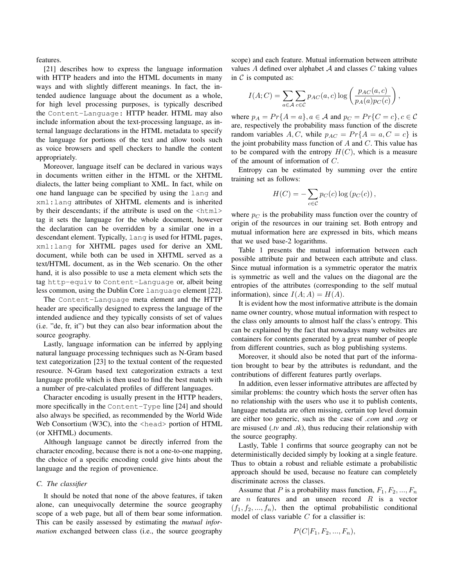features.

[21] describes how to express the language information with HTTP headers and into the HTML documents in many ways and with slightly different meanings. In fact, the intended audience language about the document as a whole, for high level processing purposes, is typically described the Content-Language: HTTP header. HTML may also include information about the text-processing language, as internal language declarations in the HTML metadata to specify the language for portions of the text and allow tools such as voice browsers and spell checkers to handle the content appropriately.

Moreover, language itself can be declared in various ways in documents written either in the HTML or the XHTML dialects, the latter being compliant to XML. In fact, while on one hand language can be specified by using the lang and xml:lang attributes of XHTML elements and is inherited by their descendants; if the attribute is used on the  $\langle \text{html} \rangle$ tag it sets the language for the whole document, however the declaration can be overridden by a similar one in a descendant element. Typically, lang is used for HTML pages, xml:lang for XHTML pages used for derive an XML document, while both can be used in XHTML served as a text/HTML document, as in the Web scenario. On the other hand, it is also possible to use a meta element which sets the tag http-equiv to Content-Language or, albeit being less common, using the Dublin Core language element [22].

The Content-Language meta element and the HTTP header are specifically designed to express the language of the intended audience and they typically consists of set of values (i.e. "de, fr, it") but they can also bear information about the source geography.

Lastly, language information can be inferred by applying natural language processing techniques such as N-Gram based text categorization [23] to the textual content of the requested resource. N-Gram based text categorization extracts a text language profile which is then used to find the best match with a number of pre-calculated profiles of different languages.

Character encoding is usually present in the HTTP headers, more specifically in the Content-Type line [24] and should also always be specified, as recommended by the World Wide Web Consortium (W3C), into the <head> portion of HTML (or XHTML) documents.

Although language cannot be directly inferred from the character encoding, because there is not a one-to-one mapping, the choice of a specific encoding could give hints about the language and the region of provenience.

#### *C. The classifier*

It should be noted that none of the above features, if taken alone, can unequivocally determine the source geography scope of a web page, but all of them bear some information. This can be easily assessed by estimating the *mutual information* exchanged between class (i.e., the source geography

scope) and each feature. Mutual information between attribute values  $A$  defined over alphabet  $A$  and classes  $C$  taking values in  $\mathcal C$  is computed as:

$$
I(A;C) = \sum_{a \in \mathcal{A}} \sum_{c \in \mathcal{C}} p_{AC}(a,c) \log \left( \frac{p_{AC}(a,c)}{p_A(a)p_C(c)} \right),
$$

where  $p_A = Pr{A = a}$ ,  $a \in A$  and  $p_C = Pr{C = c}$ ,  $c \in C$ are, respectively the probability mass function of the discrete random variables A, C, while  $p_{AC} = Pr{A = a, C = c}$  is the joint probability mass function of  $A$  and  $C$ . This value has to be compared with the entropy  $H(C)$ , which is a measure of the amount of information of C.

Entropy can be estimated by summing over the entire training set as follows:

$$
H(C) = -\sum_{c \in C} p_C(c) \log (p_C(c)),
$$

where  $p_C$  is the probability mass function over the country of origin of the resources in our training set. Both entropy and mutual information here are expressed in bits, which means that we used base-2 logarithms.

Table 1 presents the mutual information between each possible attribute pair and between each attribute and class. Since mutual information is a symmetric operator the matrix is symmetric as well and the values on the diagonal are the entropies of the attributes (corresponding to the self mutual information), since  $I(A; A) = H(A)$ .

It is evident how the most informative attribute is the domain name owner country, whose mutual information with respect to the class only amounts to almost half the class's entropy. This can be explained by the fact that nowadays many websites are containers for contents generated by a great number of people from different countries, such as blog publishing systems.

Moreover, it should also be noted that part of the information brought to bear by the attributes is redundant, and the contributions of different features partly overlaps.

In addition, even lesser informative attributes are affected by similar problems: the country which hosts the server often has no relationship with the users who use it to publish contents, language metadata are often missing, certain top level domain are either too generic, such as the case of *.com* and *.org* or are misused (*.tv* and *.tk*), thus reducing their relationship with the source geography.

Lastly, Table 1 confirms that source geography can not be deterministically decided simply by looking at a single feature. Thus to obtain a robust and reliable estimate a probabilistic approach should be used, because no feature can completely discriminate across the classes.

Assume that P is a probability mass function,  $F_1, F_2, ..., F_n$ are  $n$  features and an unseen record  $R$  is a vector  $(f_1, f_2, ..., f_n)$ , then the optimal probabilistic conditional model of class variable  $C$  for a classifier is:

$$
P(C|F_1, F_2, \ldots, F_n),
$$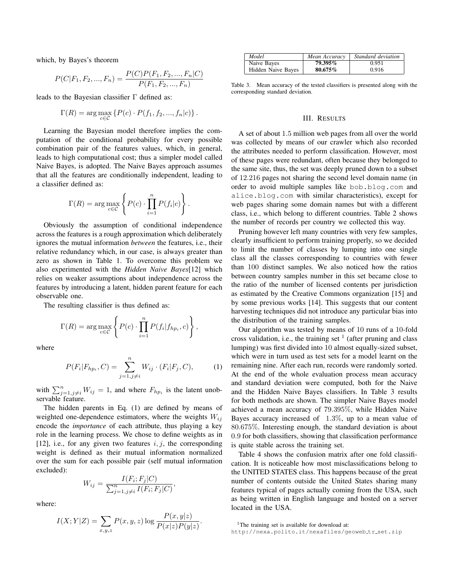which, by Bayes's theorem

$$
P(C|F_1, F_2, ..., F_n) = \frac{P(C)P(F_1, F_2, ..., F_n|C)}{P(F_1, F_2, ..., F_n)}
$$

leads to the Bayesian classifier Γ defined as:

$$
\Gamma(R) = \arg \max_{c \in C} \{ P(c) \cdot P(f_1, f_2, ..., f_n|c) \}.
$$

Learning the Bayesian model therefore implies the computation of the conditional probability for every possible combination pair of the features values, which, in general, leads to high computational cost; thus a simpler model called Naive Bayes, is adopted. The Naive Bayes approach assumes that all the features are conditionally independent, leading to a classifier defined as:

$$
\Gamma(R) = \arg \max_{c \in C} \left\{ P(c) \cdot \prod_{i=1}^{n} P(f_i|c) \right\}.
$$

Obviously the assumption of conditional independence across the features is a rough approximation which deliberately ignores the mutual information *between* the features, i.e., their relative redundancy which, in our case, is always greater than zero as shown in Table 1. To overcome this problem we also experimented with the *Hidden Naive Bayes*[12] which relies on weaker assumptions about independence across the features by introducing a latent, hidden parent feature for each observable one.

The resulting classifier is thus defined as:

$$
\Gamma(R) = \arg \max_{c \in \mathcal{C}} \left\{ P(c) \cdot \prod_{i=1}^{n} P(f_i | f_{hp_i}, c) \right\},\,
$$

where

$$
P(F_i|F_{hp_i}, C) = \sum_{j=1, j \neq i}^{n} W_{ij} \cdot (F_i|F_j, C), \tag{1}
$$

with  $\sum_{j=1, j\neq i}^{n} W_{ij} = 1$ , and where  $F_{hp_i}$  is the latent unobservable feature.

The hidden parents in Eq. (1) are defined by means of weighted one-dependence estimators, where the weights  $W_{ij}$ encode the *importance* of each attribute, thus playing a key role in the learning process. We chose to define weights as in [12], i.e., for any given two features  $i, j$ , the corresponding weight is defined as their mutual information normalized over the sum for each possible pair (self mutual information excluded):

$$
W_{ij} = \frac{I(F_i; F_j | C)}{\sum_{j=1, j \neq i}^{n} I(F_i; F_j | C)},
$$

where:

$$
I(X;Y|Z) = \sum_{x,y,z} P(x,y,z) \log \frac{P(x,y|z)}{P(x|z)P(y|z)}.
$$

| Model              | Mean Accuracy | Standard deviation |
|--------------------|---------------|--------------------|
| Naive Bayes        | 79.395%       | 0.951              |
| Hidden Naive Bayes | 80.675%       | 0.916              |

Table 3. Mean accuracy of the tested classifiers is presented along with the corresponding standard deviation.

#### III. RESULTS

A set of about 1.5 million web pages from all over the world was collected by means of our crawler which also recorded the attributes needed to perform classification. However, most of these pages were redundant, often because they belonged to the same site, thus, the set was deeply pruned down to a subset of 12.216 pages not sharing the second level domain name (in order to avoid multiple samples like bob.blog.com and alice.blog.com with similar characteristics), except for web pages sharing some domain names but with a different class, i.e., which belong to different countries. Table 2 shows the number of records per country we collected this way.

Pruning however left many countries with very few samples, clearly insufficient to perform training properly, so we decided to limit the number of classes by lumping into one single class all the classes corresponding to countries with fewer than 100 distinct samples. We also noticed how the ratios between country samples number in this set became close to the ratio of the number of licensed contents per jurisdiction as estimated by the Creative Commons organization [15] and by some previous works [14]. This suggests that our content harvesting techniques did not introduce any particular bias into the distribution of the training samples.

Our algorithm was tested by means of 10 runs of a 10-fold cross validation, i.e., the training set  $<sup>1</sup>$  (after pruning and class</sup> lumping) was first divided into 10 almost equally-sized subset, which were in turn used as test sets for a model learnt on the remaining nine. After each run, records were randomly sorted. At the end of the whole evaluation process mean accuracy and standard deviation were computed, both for the Naive and the Hidden Naive Bayes classifiers. In Table 3 results for both methods are shown. The simpler Naive Bayes model achieved a mean accuracy of 79.395%, while Hidden Naive Bayes accuracy increased of  $1.3\%$ , up to a mean value of 80.675%. Interesting enough, the standard deviation is about 0.9 for both classifiers, showing that classification performance is quite stable across the training set.

Table 4 shows the confusion matrix after one fold classification. It is noticeable how most misclassifications belong to the UNITED STATES class. This happens because of the great number of contents outside the United States sharing many features typical of pages actually coming from the USA, such as being written in English language and hosted on a server located in the USA.

<sup>&</sup>lt;sup>1</sup>The training set is available for download at:

http://nexa.polito.it/nexafiles/geoweb\_tr\_set.zip